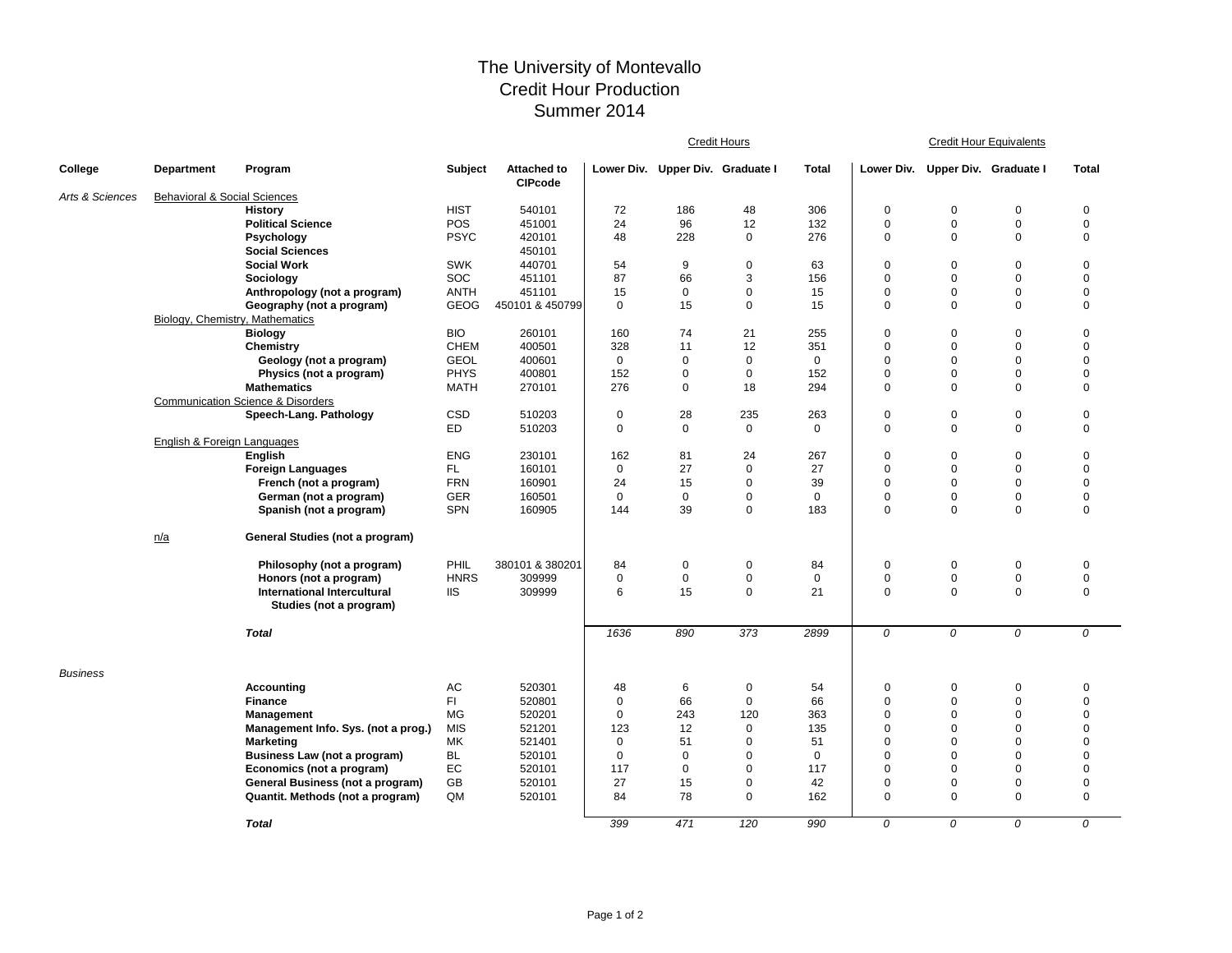## The University of Montevallo Credit Hour Production Summer 2014

|                 |                                         |                                                   |                |                                      | Credit Hours |                                  |              |              | <b>Credit Hour Equivalents</b> |                                  |             |              |  |
|-----------------|-----------------------------------------|---------------------------------------------------|----------------|--------------------------------------|--------------|----------------------------------|--------------|--------------|--------------------------------|----------------------------------|-------------|--------------|--|
| College         | <b>Department</b>                       | Program                                           | <b>Subject</b> | <b>Attached to</b><br><b>CIPcode</b> |              | Lower Div. Upper Div. Graduate I |              | <b>Total</b> |                                | Lower Div. Upper Div. Graduate I |             | <b>Total</b> |  |
| Arts & Sciences | <b>Behavioral &amp; Social Sciences</b> |                                                   |                |                                      |              |                                  |              |              |                                |                                  |             |              |  |
|                 |                                         | <b>History</b>                                    | <b>HIST</b>    | 540101                               | 72           | 186                              | 48           | 306          | $\mathbf 0$                    | 0                                | $\mathbf 0$ | 0            |  |
|                 |                                         | <b>Political Science</b>                          | <b>POS</b>     | 451001                               | 24           | 96                               | 12           | 132          | $\mathbf 0$                    | $\mathbf 0$                      | $\mathbf 0$ | $\mathbf 0$  |  |
|                 |                                         | Psychology                                        | <b>PSYC</b>    | 420101                               | 48           | 228                              | $\mathbf 0$  | 276          | $\mathbf 0$                    | $\Omega$                         | $\mathbf 0$ | $\mathbf 0$  |  |
|                 |                                         | <b>Social Sciences</b>                            |                | 450101                               |              |                                  |              |              |                                |                                  |             |              |  |
|                 |                                         | <b>Social Work</b>                                | <b>SWK</b>     | 440701                               | 54           | 9                                | $\mathbf 0$  | 63           | $\mathbf 0$                    | $\Omega$                         | $\mathbf 0$ | $\pmb{0}$    |  |
|                 |                                         | Sociology                                         | SOC            | 451101                               | 87           | 66                               | 3            | 156          | $\mathbf 0$                    | $\mathbf 0$                      | $\mathbf 0$ | $\mathbf 0$  |  |
|                 |                                         | Anthropology (not a program)                      | <b>ANTH</b>    | 451101                               | 15           | $\mathbf 0$                      | $\mathbf 0$  | 15           | $\mathbf 0$                    | $\mathbf 0$                      | $\mathbf 0$ | $\mathbf 0$  |  |
|                 |                                         | Geography (not a program)                         | <b>GEOG</b>    | 450101 & 450799                      | $\mathbf 0$  | 15                               | $\mathbf{0}$ | 15           | $\mathbf 0$                    | $\Omega$                         | $\mathbf 0$ | $\mathbf 0$  |  |
|                 | Biology, Chemistry, Mathematics         |                                                   |                |                                      |              |                                  |              |              |                                |                                  |             |              |  |
|                 |                                         | <b>Biology</b>                                    | <b>BIO</b>     | 260101                               | 160          | 74                               | 21           | 255          | $\mathbf 0$                    | $\mathbf 0$                      | $\mathbf 0$ | $\mathbf 0$  |  |
|                 |                                         | Chemistry                                         | <b>CHEM</b>    | 400501                               | 328          | 11                               | 12           | 351          | $\pmb{0}$                      | $\pmb{0}$                        | $\mathbf 0$ | $\pmb{0}$    |  |
|                 |                                         | Geology (not a program)                           | <b>GEOL</b>    | 400601                               | $\mathbf 0$  | 0                                | $\mathbf 0$  | 0            | 0                              | $\pmb{0}$                        | $\mathbf 0$ | $\mathbf 0$  |  |
|                 |                                         | Physics (not a program)                           | <b>PHYS</b>    | 400801                               | 152          | $\mathbf 0$                      | $\mathbf 0$  | 152          | $\pmb{0}$                      | $\mathbf 0$                      | $\mathbf 0$ | $\pmb{0}$    |  |
|                 |                                         | <b>Mathematics</b>                                | <b>MATH</b>    | 270101                               | 276          | $\mathbf 0$                      | 18           | 294          | $\mathbf 0$                    | $\Omega$                         | $\mathbf 0$ | $\mathbf 0$  |  |
|                 |                                         | <b>Communication Science &amp; Disorders</b>      |                |                                      |              |                                  |              |              |                                |                                  |             |              |  |
|                 |                                         | Speech-Lang. Pathology                            | <b>CSD</b>     | 510203                               | $\mathbf 0$  | 28                               | 235          | 263          | $\mathbf 0$                    | $\mathbf 0$                      | $\pmb{0}$   | $\pmb{0}$    |  |
|                 |                                         |                                                   | ED             | 510203                               | $\mathbf 0$  | 0                                | $\mathbf 0$  | 0            | $\mathbf 0$                    | $\mathbf 0$                      | $\mathbf 0$ | $\mathbf 0$  |  |
|                 | English & Foreign Languages             | <b>English</b>                                    | <b>ENG</b>     |                                      | 162          | 81                               | 24           |              | $\mathbf 0$                    | $\mathbf 0$                      | $\mathbf 0$ | $\mathbf 0$  |  |
|                 |                                         | <b>Foreign Languages</b>                          | FL.            | 230101<br>160101                     | $\mathbf 0$  | 27                               | $\mathbf 0$  | 267<br>27    | $\mathbf 0$                    | $\mathbf 0$                      | $\mathbf 0$ | $\mathbf 0$  |  |
|                 |                                         | French (not a program)                            | <b>FRN</b>     | 160901                               | 24           | 15                               | $\mathbf 0$  | 39           | $\pmb{0}$                      | $\Omega$                         | $\mathbf 0$ | $\mathsf 0$  |  |
|                 |                                         |                                                   | <b>GER</b>     | 160501                               | $\mathbf 0$  | $\pmb{0}$                        | 0            | $\mathbf 0$  | $\pmb{0}$                      | $\overline{0}$                   | $\pmb{0}$   | $\pmb{0}$    |  |
|                 |                                         | German (not a program)<br>Spanish (not a program) | <b>SPN</b>     | 160905                               | 144          | 39                               | $\mathbf 0$  | 183          | $\mathbf 0$                    | $\mathbf 0$                      | $\mathbf 0$ | $\mathbf 0$  |  |
|                 |                                         |                                                   |                |                                      |              |                                  |              |              |                                |                                  |             |              |  |
|                 | n/a                                     | General Studies (not a program)                   |                |                                      |              |                                  |              |              |                                |                                  |             |              |  |
|                 |                                         | Philosophy (not a program)                        | PHIL           | 380101 & 380201                      | 84           | $\mathbf 0$                      | 0            | 84           | $\mathbf 0$                    | $\mathbf 0$                      | $\mathbf 0$ | 0            |  |
|                 |                                         | Honors (not a program)                            | <b>HNRS</b>    | 309999                               | $\mathbf 0$  | $\pmb{0}$                        | 0            | 0            | $\pmb{0}$                      | $\pmb{0}$                        | $\pmb{0}$   | $\pmb{0}$    |  |
|                 |                                         | <b>International Intercultural</b>                | <b>IIS</b>     | 309999                               | 6            | 15                               | $\mathbf{0}$ | 21           | $\mathbf 0$                    | $\mathbf 0$                      | $\mathbf 0$ | $\mathbf 0$  |  |
|                 |                                         | Studies (not a program)                           |                |                                      |              |                                  |              |              |                                |                                  |             |              |  |
|                 |                                         | <b>Total</b>                                      |                |                                      | 1636         | 890                              | 373          | 2899         | 0                              | 0                                | 0           | 0            |  |
| <b>Business</b> |                                         |                                                   |                |                                      |              |                                  |              |              |                                |                                  |             |              |  |
|                 |                                         | <b>Accounting</b>                                 | AC             | 520301                               | 48           | 6                                | $\mathbf 0$  | 54           | $\mathbf 0$                    | $\mathbf 0$                      | $\mathbf 0$ | $\mathbf 0$  |  |
|                 |                                         | <b>Finance</b>                                    | FI.            | 520801                               | $\mathbf 0$  | 66                               | $\mathbf 0$  | 66           | $\pmb{0}$                      | $\mathbf 0$                      | $\mathbf 0$ | $\mathbf 0$  |  |
|                 |                                         | Management                                        | MG             | 520201                               | $\mathbf 0$  | 243                              | 120          | 363          | $\pmb{0}$                      | $\Omega$                         | $\mathbf 0$ | $\mathbf 0$  |  |
|                 |                                         | Management Info. Sys. (not a prog.)               | <b>MIS</b>     | 521201                               | 123          | 12                               | $\mathbf 0$  | 135          | $\mathbf 0$                    | $\Omega$                         | $\mathbf 0$ | $\mathbf 0$  |  |
|                 |                                         | <b>Marketing</b>                                  | МK             | 521401                               | $\mathbf 0$  | 51                               | $\mathbf 0$  | 51           | 0                              | $\Omega$                         | $\mathbf 0$ | $\mathbf 0$  |  |
|                 |                                         | Business Law (not a program)                      | <b>BL</b>      | 520101                               | $\mathbf 0$  | $\Omega$                         | $\Omega$     | $\Omega$     | $\mathbf 0$                    | $\Omega$                         | $\mathbf 0$ | $\mathbf 0$  |  |
|                 |                                         | Economics (not a program)                         | EC             | 520101                               | 117          | $\mathbf 0$                      | $\mathbf 0$  | 117          | $\mathbf 0$                    | $\Omega$                         | $\mathbf 0$ | $\mathbf 0$  |  |
|                 |                                         | General Business (not a program)                  | GB             | 520101                               | 27           | 15                               | $\mathbf 0$  | 42           | 0                              | $\mathbf 0$                      | $\mathbf 0$ | $\mathbf 0$  |  |
|                 |                                         | Quantit. Methods (not a program)                  | QM             | 520101                               | 84           | 78                               | $\mathbf 0$  | 162          | $\mathbf 0$                    | $\Omega$                         | $\mathbf 0$ | $\mathbf 0$  |  |
|                 |                                         | <b>Total</b>                                      |                |                                      | 399          | 471                              | 120          | 990          | 0                              | 0                                | 0           | 0            |  |